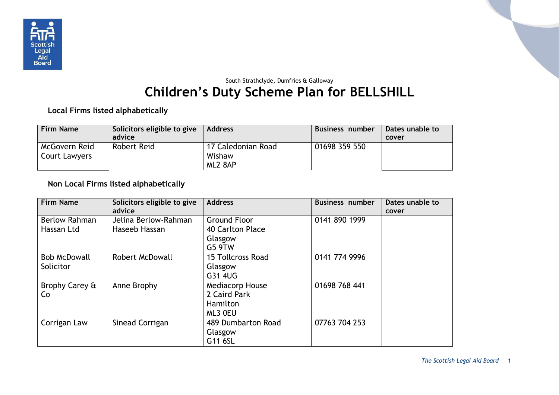

## South Strathclyde, Dumfries & Galloway **Children's Duty Scheme Plan for BELLSHILL**

**Local Firms listed alphabetically**

| <b>Firm Name</b>               | Solicitors eligible to give<br>advice | <b>Address</b>                          | Business number | Dates unable to<br>cover |
|--------------------------------|---------------------------------------|-----------------------------------------|-----------------|--------------------------|
| McGovern Reid<br>Court Lawyers | Robert Reid                           | 17 Caledonian Road<br>Wishaw<br>ML2 8AP | 01698 359 550   |                          |

## **Non Local Firms listed alphabetically**

| <b>Firm Name</b>     | Solicitors eligible to give | <b>Address</b>         | <b>Business number</b> | Dates unable to |
|----------------------|-----------------------------|------------------------|------------------------|-----------------|
|                      | advice                      |                        |                        | cover           |
| <b>Berlow Rahman</b> | Jelina Berlow-Rahman        | <b>Ground Floor</b>    | 0141 890 1999          |                 |
| Hassan Ltd           | Haseeb Hassan               | 40 Carlton Place       |                        |                 |
|                      |                             | Glasgow                |                        |                 |
|                      |                             | G5 9TW                 |                        |                 |
| <b>Bob McDowall</b>  | <b>Robert McDowall</b>      | 15 Tollcross Road      | 0141 774 9996          |                 |
| Solicitor            |                             | Glasgow                |                        |                 |
|                      |                             | G31 4UG                |                        |                 |
| Brophy Carey &       | Anne Brophy                 | <b>Mediacorp House</b> | 01698 768 441          |                 |
| Co                   |                             | 2 Caird Park           |                        |                 |
|                      |                             | Hamilton               |                        |                 |
|                      |                             | ML3 OEU                |                        |                 |
| Corrigan Law         | Sinead Corrigan             | 489 Dumbarton Road     | 07763 704 253          |                 |
|                      |                             | Glasgow                |                        |                 |
|                      |                             | G11 6SL                |                        |                 |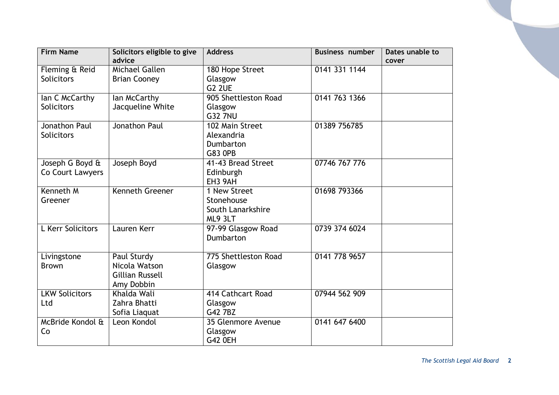| <b>Firm Name</b>                    | Solicitors eligible to give<br>advice                                | <b>Address</b>                                               | <b>Business number</b> | Dates unable to<br>cover |
|-------------------------------------|----------------------------------------------------------------------|--------------------------------------------------------------|------------------------|--------------------------|
| Fleming & Reid<br><b>Solicitors</b> | Michael Gallen<br><b>Brian Cooney</b>                                | 180 Hope Street<br>Glasgow<br>G <sub>2</sub> 2UE             | 0141 331 1144          |                          |
| lan C McCarthy<br><b>Solicitors</b> | lan McCarthy<br>Jacqueline White                                     | 905 Shettleston Road<br>Glasgow<br><b>G32 7NU</b>            | 0141 763 1366          |                          |
| Jonathon Paul<br><b>Solicitors</b>  | Jonathon Paul                                                        | 102 Main Street<br>Alexandria<br>Dumbarton<br><b>G83 OPB</b> | 01389 756785           |                          |
| Joseph G Boyd &<br>Co Court Lawyers | Joseph Boyd                                                          | 41-43 Bread Street<br>Edinburgh<br>EH3 9AH                   | 07746 767 776          |                          |
| Kenneth M<br>Greener                | <b>Kenneth Greener</b>                                               | 1 New Street<br>Stonehouse<br>South Lanarkshire<br>ML9 3LT   | 01698 793366           |                          |
| L Kerr Solicitors                   | Lauren Kerr                                                          | 97-99 Glasgow Road<br>Dumbarton                              | 0739 374 6024          |                          |
| Livingstone<br><b>Brown</b>         | Paul Sturdy<br>Nicola Watson<br><b>Gillian Russell</b><br>Amy Dobbin | 775 Shettleston Road<br>Glasgow                              | 0141 778 9657          |                          |
| <b>LKW Solicitors</b><br>Ltd        | Khalda Wali<br>Zahra Bhatti<br>Sofia Liaquat                         | 414 Cathcart Road<br>Glasgow<br>G42 7BZ                      | 07944 562 909          |                          |
| McBride Kondol &<br>Co              | Leon Kondol                                                          | 35 Glenmore Avenue<br>Glasgow<br>G42 0EH                     | 0141 647 6400          |                          |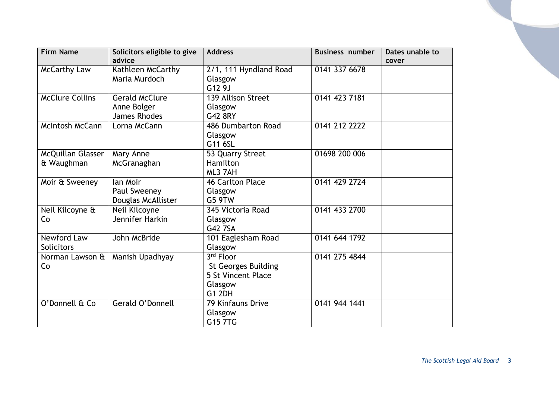| <b>Firm Name</b>       | Solicitors eligible to give | <b>Address</b>             | <b>Business number</b> | Dates unable to |
|------------------------|-----------------------------|----------------------------|------------------------|-----------------|
|                        | advice                      |                            |                        | cover           |
| <b>McCarthy Law</b>    | Kathleen McCarthy           | 2/1, 111 Hyndland Road     | 0141 337 6678          |                 |
|                        | Maria Murdoch               | Glasgow                    |                        |                 |
|                        |                             | G12 9J                     |                        |                 |
| <b>McClure Collins</b> | <b>Gerald McClure</b>       | 139 Allison Street         | 0141 423 7181          |                 |
|                        | Anne Bolger                 | Glasgow                    |                        |                 |
|                        | <b>James Rhodes</b>         | G42 8RY                    |                        |                 |
| <b>McIntosh McCann</b> | Lorna McCann                | 486 Dumbarton Road         | 0141 212 2222          |                 |
|                        |                             | Glasgow                    |                        |                 |
|                        |                             | G11 6SL                    |                        |                 |
| McQuillan Glasser      | Mary Anne                   | 53 Quarry Street           | 01698 200 006          |                 |
| & Waughman             | McGranaghan                 | Hamilton                   |                        |                 |
|                        |                             | ML3 7AH                    |                        |                 |
| Moir & Sweeney         | lan Moir                    | 46 Carlton Place           | 0141 429 2724          |                 |
|                        | Paul Sweeney                | Glasgow                    |                        |                 |
|                        | Douglas McAllister          | G5 9TW                     |                        |                 |
| Neil Kilcoyne &        | Neil Kilcoyne               | 345 Victoria Road          | 0141 433 2700          |                 |
| Co                     | Jennifer Harkin             | Glasgow                    |                        |                 |
|                        |                             | G42 7SA                    |                        |                 |
| Newford Law            | John McBride                | 101 Eaglesham Road         | 0141 644 1792          |                 |
| Solicitors             |                             | Glasgow                    |                        |                 |
| Norman Lawson &        | Manish Upadhyay             | 3rd Floor                  | 0141 275 4844          |                 |
| Co                     |                             | <b>St Georges Building</b> |                        |                 |
|                        |                             | 5 St Vincent Place         |                        |                 |
|                        |                             | Glasgow                    |                        |                 |
|                        |                             | <b>G1 2DH</b>              |                        |                 |
| O'Donnell & Co         | Gerald O'Donnell            | 79 Kinfauns Drive          | 0141 944 1441          |                 |
|                        |                             | Glasgow                    |                        |                 |
|                        |                             | G15 7TG                    |                        |                 |